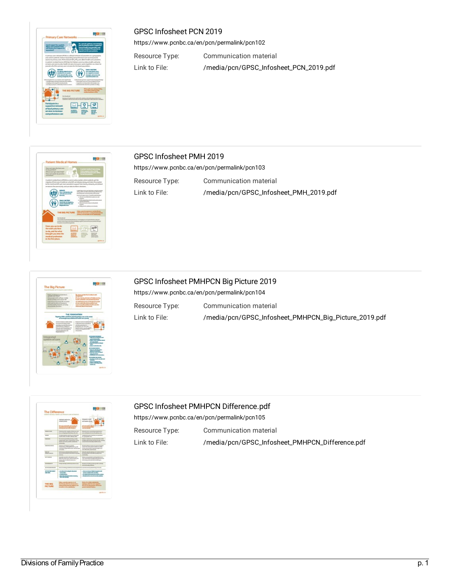

#### GPSC Infosheet PCN 2019

<https://www.pcnbc.ca/en/pcn/permalink/pcn102>

Resource Type: Communication material Link to File: [/media/pcn/GPSC\\_Infosheet\\_PCN\\_2019.pdf](https://www.pcnbc.ca/media/pcn/GPSC_Infosheet_PCN_2019.pdf)



#### GPSC Infosheet PMH 2019

<https://www.pcnbc.ca/en/pcn/permalink/pcn103>

Resource Type: Communication material

Link to File: [/media/pcn/GPSC\\_Infosheet\\_PMH\\_2019.pdf](https://www.pcnbc.ca/media/pcn/GPSC_Infosheet_PMH_2019.pdf)

| The Big Picture<br>TRANSPORTATION AUTO HEALTH CARS THETAP                                                                                |                                                                                                                   |
|------------------------------------------------------------------------------------------------------------------------------------------|-------------------------------------------------------------------------------------------------------------------|
|                                                                                                                                          |                                                                                                                   |
| From a modificated sensor that is<br>provato and others.                                                                                 | <b>All Property</b><br><b><i><u>In concern</u></i></b><br><b>PARKER</b>                                           |
| Many paneers on the care's gar a handy<br>design air simply peace on the Ad-                                                             |                                                                                                                   |
| sungs affected thing should all the and sender!<br>struct and the three of least seals.                                                  | <b>NA Altra An Altra</b><br><b>Concerning Concerning Con-</b>                                                     |
| traly discovered by the artists and calling<br>attantinate present.                                                                      | process made a stream had those that<br><b>Booksile Macro Project Available</b>                                   |
|                                                                                                                                          |                                                                                                                   |
|                                                                                                                                          |                                                                                                                   |
|                                                                                                                                          | TAK FOUNDATION<br>alisas PMH Land PLTs pasinian primary curs at the cen-                                          |
|                                                                                                                                          | of unimproved complexed hadde per century.                                                                        |
| <b>DESIGN MARKET AND COMPANY</b>                                                                                                         | <b>Producer visits on furnishing</b>                                                                              |
|                                                                                                                                          |                                                                                                                   |
| <b><i><u><i><u><b>ARCHITECTS CONTRACTS</b></u></i></u></i></b><br><b>EXPERIENCE AND INVESTIGATION</b><br><b>CONTRACTOR</b> INVESTIGATION | <b><i>A discussion and displays</i></b><br>unfahrlungsabe No. 3<br>Analysis and other wards                       |
| <b>RADIAR UNA RUSSIA MOVIES</b><br>presentate classica des absogrados en                                                                 | <b>NATIONAL HISTORIC</b><br><b>Scale-Avenue was made for SAS</b>                                                  |
| Automobile Advisor Print, Labor<br><b>SAMURALLY</b>                                                                                      | anticipate.                                                                                                       |
|                                                                                                                                          |                                                                                                                   |
| Integrated<br>system of care                                                                                                             | <b>Mits Schrafts Replicate all &amp;</b>                                                                          |
|                                                                                                                                          | <b><i>Fasculta Suite Language</i></b>                                                                             |
|                                                                                                                                          | <b>And a more high the</b>                                                                                        |
|                                                                                                                                          | -------<br><b><i>Colorador Continental States</i></b>                                                             |
|                                                                                                                                          | <b>CORNER AND BRANDIS</b><br><b><i><u>Ballysian and an In-city</u></i></b><br><b><i><u>CALL A WINDOWS</u></i></b> |
|                                                                                                                                          | <b>Contribute cars and with</b>                                                                                   |
|                                                                                                                                          | <b>START OF BEATLE</b><br><b><i>Margaret Avenue Avenue</i></b>                                                    |
|                                                                                                                                          | <b><i><u>Ballyla SouthFall</u></i></b><br><b>STATISTICS</b><br><b>Superior Adv</b>                                |

GPSC Infosheet PMHPCN Big Picture 2019 <https://www.pcnbc.ca/en/pcn/permalink/pcn104> Resource Type: Communication material Link to File: [/media/pcn/GPSC\\_Infosheet\\_PMHPCN\\_Big\\_Picture\\_2019.pdf](https://www.pcnbc.ca/media/pcn/GPSC_Infosheet_PMHPCN_Big_Picture_2019.pdf)



# GPSC Infosheet PMHPCN Difference.pdf

<https://www.pcnbc.ca/en/pcn/permalink/pcn105>

Resource Type: Communication material

Link to File: [/media/pcn/GPSC\\_Infosheet\\_PMHPCN\\_Difference.pdf](https://www.pcnbc.ca/media/pcn/GPSC_Infosheet_PMHPCN_Difference.pdf)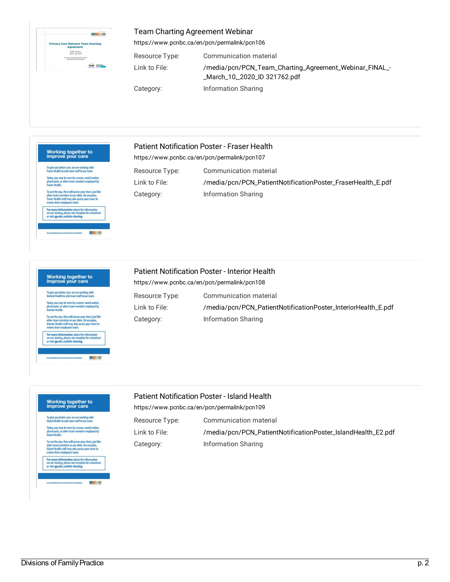| <b>Primary Care Network Team Charting</b> |                                                                 |
|-------------------------------------------|-----------------------------------------------------------------|
|                                           | Agreement                                                       |
|                                           | <b>CFSC Webbear</b><br>Marsh 10, 2020                           |
|                                           | Lichen Experiences, ISSG GeoGraphy<br>More Buyers, Walt Gardner |

#### Team Charting Agreement Webinar

<https://www.pcnbc.ca/en/pcn/permalink/pcn106>

Resource Type: Communication material Link to File: [/media/pcn/PCN\\_Team\\_Charting\\_Agreement\\_Webinar\\_FINAL\\_-](https://www.pcnbc.ca/media/pcn/PCN_Team_Charting_Agreement_Webinar_FINAL_-_March_10,_2020_ID%20321762.pdf) \_March\_10,\_2020\_ID 321762.pdf Category: Information Sharing



#### Patient Notification Poster - Fraser Health

<https://www.pcnbc.ca/en/pcn/permalink/pcn107>

Resource Type: Communication material Link to File: /[/media/pcn/PCN\\_PatientNotificationPoster\\_FraserHealth\\_E.pdf](https://www.pcnbc.ca/media/pcn/PCN_PatientNotificationPoster_FraserHealth_E.pdf) Category: Information Sharing

## Working together to<br>improve your care

To give you better care, we are working with<br>Interior Health to add more staff to our team. Internet retains to add interestant to our team.<br>Today, you may be seen by a nurse, social worker,<br>pharmacist, or other team member employed by<br>Interior Health. To care for you, they will access your chart, just like<br>other team members in our clinic. On occasion,<br>Interior Health staff may also access your chart to<br>review their employees' work. For more information about the information<br>we are sharing, please ask reception for a brochu<br>or visit gpscbc.ca/info-sharing.

00 8

#### Patient Notification Poster - Interior Health

<https://www.pcnbc.ca/en/pcn/permalink/pcn108>

| Resource Type: | Communication material                                        |
|----------------|---------------------------------------------------------------|
| Link to File:  | /media/pcn/PCN_PatientNotificationPoster_InteriorHealth_E.pdf |
| Category:      | Information Sharing                                           |

## Working together to<br>improve your care

To give you better care, we are working with<br>Island Health to add more staff to our team. Today, you may be seen by a nurse, social worker,<br>pharmacist, or other team member employed by<br>Island Health.

For more information about the information<br>we are sharing, please ask reception for a brochure<br>or visit gpscbc.ca/info-sharing.

#### Patient Notification Poster - Island Health

<https://www.pcnbc.ca/en/pcn/permalink/pcn109>

Resource Type: Communication material Link to File: /[/media/pcn/PCN\\_PatientNotificationPoster\\_IslandHealth\\_E2.pdf](https://www.pcnbc.ca/media/pcn/PCN_PatientNotificationPoster_IslandHealth_E2.pdf) Category: Information Sharing

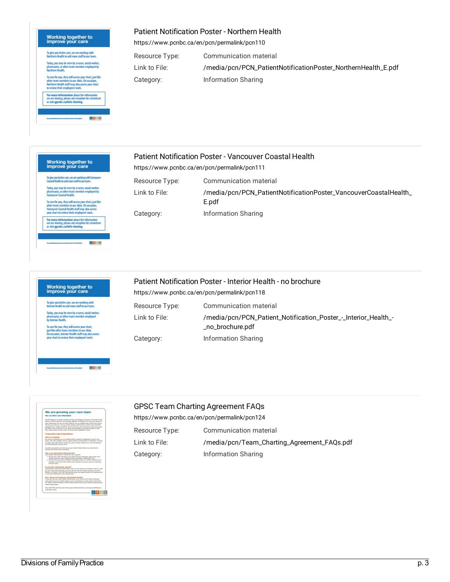## Working together to<br>improve your care

|                 | Today, you may be seen by a nurse, social worker,<br>pharmacist, or other team member employed by |
|-----------------|---------------------------------------------------------------------------------------------------|
| Northem Health. |                                                                                                   |
|                 | To care for you, they will access your chart, just like                                           |
|                 | other team members in our dinic. On occasion,<br>Northern Health staff may also access your chart |
|                 | to review their employees work.                                                                   |
|                 | For more information about the information                                                        |
|                 | we are sharing, please ask reception for a brochure<br>or visit gpscbc.ca/info-sharing.           |

#### Patient Notification Poster - Northern Health

<https://www.pcnbc.ca/en/pcn/permalink/pcn110>

<https://www.pcnbc.ca/en/pcn/permalink/pcn111>

Resource Type: Communication material Link to File: [/media/pcn/PCN\\_PatientNotificationPoster\\_NorthernHealth\\_E.pdf](https://www.pcnbc.ca/media/pcn/PCN_PatientNotificationPoster_NorthernHealth_E.pdf) Category: Information Sharing

# Working together to<br>improve your care

To give you better care, we are working with Va<br>Coastal Health to add more staff to our team.

Today, you may be seen by a nurse, social worker,<br>pharmacist, or other team member employed by<br>Vancouver Coastal Health.

o care for you, they will access your chart, just like<br>ther team members in our clinic. On occasion,<br>ancouver Coastal Health staff may also access<br>our chart to review their employees' work.

For more information about the information<br>we are sharing, please ask reception for a broche<br>or visit gpscbc.ca/info-sharing.

drise

印图6

Resource Type: Communication material Link to File: [/media/pcn/PCN\\_PatientNotificationPoster\\_VancouverCoastalHealth\\_](https://www.pcnbc.ca/media/pcn/PCN_PatientNotificationPoster_VancouverCoastalHealth_E.pdf) E.pdf Category: Information Sharing

#### Patient Notification Poster - Interior Health - no brochure

Patient Notification Poster - Vancouver Coastal Health

Working together to<br>improve your care <https://www.pcnbc.ca/en/pcn/permalink/pcn118> To give you better care, we are working with<br>Interior Health to add more staff to our team Resource Type: Communication material Today, you may be seen by a nurse, social worker,<br>pharmacist, or other team member employed<br>by Interior Health Link to File: /[/media/pcn/PCN\\_Patient\\_Notification\\_Poster\\_-\\_Interior\\_Health\\_-](https://www.pcnbc.ca/media/pcn/PCN_Patient_Notification_Poster_-_Interior_Health_-_no_brochure.pdf) \_no\_brochure.pdf To care for you, they will access your chart, just like other team members in our clinic.<br>On occasion, Interior Health staff may also as your chart to review their employees' work. Category: Information Sharing



## GPSC Team Charting Agreement FAQs

<https://www.pcnbc.ca/en/pcn/permalink/pcn124>

Resource Type: Communication material Link to File: /[/media/pcn/Team\\_Charting\\_Agreement\\_FAQs.pdf](https://www.pcnbc.ca/media/pcn/Team_Charting_Agreement_FAQs.pdf) Category: Information Sharing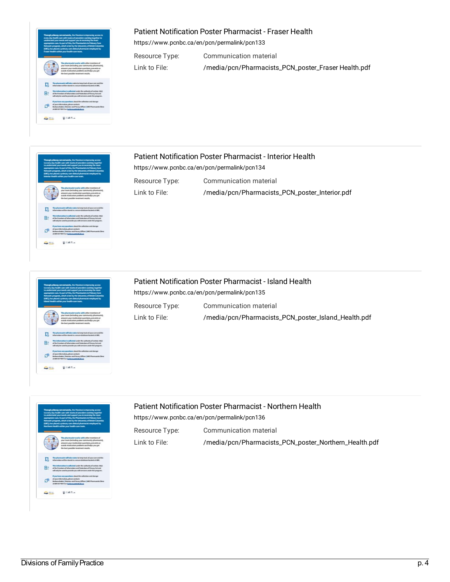#### Patient Notification Poster Pharmacist - Fraser Health

<https://www.pcnbc.ca/en/pcn/permalink/pcn133>

Resource Type: Communication material

Link to File: /[/media/pcn/Pharmacists\\_PCN\\_poster\\_Fraser](https://www.pcnbc.ca/media/pcn/Pharmacists_PCN_poster_Fraser%20Health.pdf) Health.pdf



# B

#### Patient Notification Poster Pharmacist - Interior Health

<https://www.pcnbc.ca/en/pcn/permalink/pcn134>

Resource Type: Communication material

Link to File: [/media/pcn/Pharmacists\\_PCN\\_poster\\_Interior.pdf](https://www.pcnbc.ca/media/pcn/Pharmacists_PCN_poster_Interior.pdf)



Patient Notification Poster Pharmacist - Island Health <https://www.pcnbc.ca/en/pcn/permalink/pcn135> Resource Type: Communication material Link to File: [/media/pcn/Pharmacists\\_PCN\\_poster\\_Island\\_Health.pdf](https://www.pcnbc.ca/media/pcn/Pharmacists_PCN_poster_Island_Health.pdf)



## Patient Notification Poster Pharmacist - Northern Health

<https://www.pcnbc.ca/en/pcn/permalink/pcn136>

Resource Type: Communication material

Link to File: [/media/pcn/Pharmacists\\_PCN\\_poster\\_Northern\\_Health.pdf](https://www.pcnbc.ca/media/pcn/Pharmacists_PCN_poster_Northern_Health.pdf)